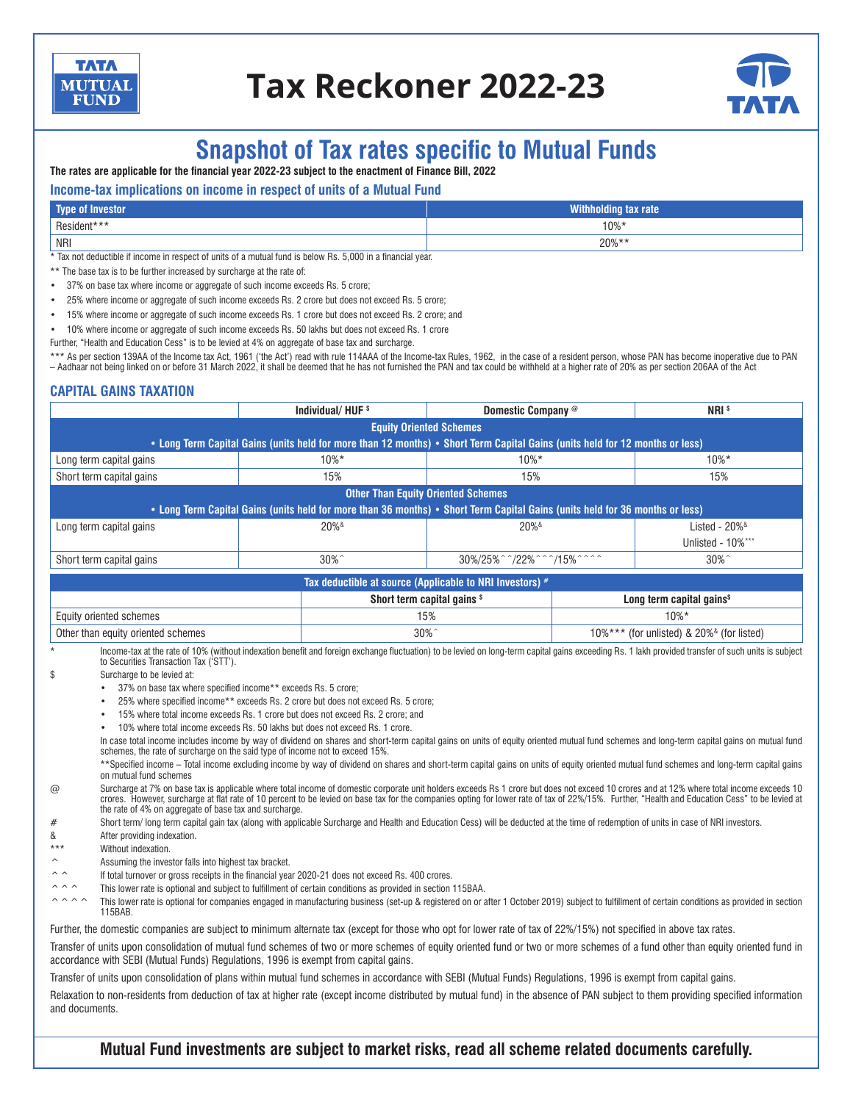

# **Tax Reckoner 2022-23**



# **Snapshot of Tax rates specific to Mutual Funds**

**The rates are applicable for the financial year 2022-23 subject to the enactment of Finance Bill, 2022** 

# **Income-tax implications on income in respect of units of a Mutual Fund**

| Type of Investor | <b>Withholding to</b><br><b>Aax rate</b> |
|------------------|------------------------------------------|
| Resident***      | $10\%$ *                                 |
| NRI              | $20\%**$                                 |

\* Tax not deductible if income in respect of units of a mutual fund is below Rs. 5,000 in a financial year.

- \*\* The base tax is to be further increased by surcharge at the rate of:
- 37% on base tax where income or aggregate of such income exceeds Rs. 5 crore;
- 25% where income or aggregate of such income exceeds Rs. 2 crore but does not exceed Rs. 5 crore;
- 15% where income or aggregate of such income exceeds Rs. 1 crore but does not exceed Rs. 2 crore; and

• 10% where income or aggregate of such income exceeds Rs. 50 lakhs but does not exceed Rs. 1 crore

Further, "Health and Education Cess" is to be levied at 4% on aggregate of base tax and surcharge.

\*\*\* As per section 139AA of the Income tax Act, 1961 ('the Act') read with rule 114AAA of the Income-tax Rules, 1962, in the case of a resident person, whose PAN has become inoperative due to PAN – Aadhaar not being linked on or before 31 March 2022, it shall be deemed that he has not furnished the PAN and tax could be withheld at a higher rate of 20% as per section 206AA of the Act

# **CAPITAL GAINS TAXATION**

|                                                                                                                              | Individual/HUF <sup>\$</sup>                                                                                                                                                                        | Domestic Company @                                       |                                                            | NRI <sup>s</sup>                      |  |  |  |  |
|------------------------------------------------------------------------------------------------------------------------------|-----------------------------------------------------------------------------------------------------------------------------------------------------------------------------------------------------|----------------------------------------------------------|------------------------------------------------------------|---------------------------------------|--|--|--|--|
| <b>Equity Oriented Schemes</b>                                                                                               |                                                                                                                                                                                                     |                                                          |                                                            |                                       |  |  |  |  |
| • Long Term Capital Gains (units held for more than 12 months) • Short Term Capital Gains (units held for 12 months or less) |                                                                                                                                                                                                     |                                                          |                                                            |                                       |  |  |  |  |
| Long term capital gains                                                                                                      | $10\%*$                                                                                                                                                                                             | $10\%*$                                                  | $10\%*$                                                    |                                       |  |  |  |  |
| Short term capital gains                                                                                                     | 15%                                                                                                                                                                                                 | 15%                                                      |                                                            | 15%                                   |  |  |  |  |
|                                                                                                                              |                                                                                                                                                                                                     | <b>Other Than Equity Oriented Schemes</b>                |                                                            |                                       |  |  |  |  |
|                                                                                                                              | • Long Term Capital Gains (units held for more than 36 months) • Short Term Capital Gains (units held for 36 months or less)                                                                        |                                                          |                                                            |                                       |  |  |  |  |
| Long term capital gains                                                                                                      | $20\%$ <sup>&amp;</sup>                                                                                                                                                                             | $20\%$ <sup>&amp;</sup>                                  |                                                            | Listed - $20\%$ <sup>&amp;</sup>      |  |  |  |  |
|                                                                                                                              |                                                                                                                                                                                                     |                                                          |                                                            | Unlisted - 10%***                     |  |  |  |  |
| Short term capital gains                                                                                                     | $30\%$                                                                                                                                                                                              |                                                          | 30%/25%^^/22%^^^/15%^^^^                                   |                                       |  |  |  |  |
|                                                                                                                              |                                                                                                                                                                                                     | Tax deductible at source (Applicable to NRI Investors) # |                                                            |                                       |  |  |  |  |
|                                                                                                                              |                                                                                                                                                                                                     | Short term capital gains \$                              |                                                            | Long term capital gains <sup>\$</sup> |  |  |  |  |
| Equity oriented schemes                                                                                                      |                                                                                                                                                                                                     | 15%                                                      |                                                            | $10\%*$                               |  |  |  |  |
| Other than equity oriented schemes                                                                                           |                                                                                                                                                                                                     | $30\%$                                                   | $10\%$ *** (for unlisted) & 20% $\textdegree$ (for listed) |                                       |  |  |  |  |
| $\star$<br>to Securities Transaction Tax ('STT').                                                                            | Income-tax at the rate of 10% (without indexation benefit and foreign exchange fluctuation) to be levied on long-term capital gains exceeding Rs. 1 lakh provided transfer of such units is subject |                                                          |                                                            |                                       |  |  |  |  |
| \$<br>Surcharge to be levied at:                                                                                             |                                                                                                                                                                                                     |                                                          |                                                            |                                       |  |  |  |  |
|                                                                                                                              | 37% on base tax where specified income** exceeds Rs. 5 crore;                                                                                                                                       |                                                          |                                                            |                                       |  |  |  |  |
| 25% where specified income** exceeds Rs 2 crore but does not exceed Rs 5 crore;                                              |                                                                                                                                                                                                     |                                                          |                                                            |                                       |  |  |  |  |

- 25% where specified income\*\* exceeds Rs. 2 crore but does not exceed Rs. 5 crore;
- 15% where total income exceeds Rs. 1 crore but does not exceed Rs. 2 crore; and
- 10% where total income exceeds Rs. 50 lakhs but does not exceed Rs. 1 crore.

In case total income includes income by way of dividend on shares and short-term capital gains on units of equity oriented mutual fund schemes and long-term capital gains on mutual fund schemes, the rate of surcharge on the said type of income not to exceed 15%.

\*\*Specified income – Total income excluding income by way of dividend on shares and short-term capital gains on units of equity oriented mutual fund schemes and long-term capital gains on mutual fund schemes

@ Surcharge at 7% on base tax is applicable where total income of domestic corporate unit holders exceeds Rs 1 crore but does not exceed 10 crores and at 12% where total income exceeds 10 crores. However, surcharge at flat rate of 10 percent to be levied on base tax for the companies opting for lower rate of tax of 22%/15%. Further, "Health and Education Cess" to be levied at the rate of 4% on aggregate of base tax and surcharge.

# Short term/ long term capital gain tax (along with applicable Surcharge and Health and Education Cess) will be deducted at the time of redemption of units in case of NRI investors.

& After providing indexation.

Without indexation.

^ Assuming the investor falls into highest tax bracket.

 $\hat{\phantom{a}}$  If total turnover or gross receipts in the financial year 2020-21 does not exceed Rs. 400 crores.

^^^ This lower rate is optional and subject to fulfillment of certain conditions as provided in section 115BAA.

 $\land$  ^ ^ ^ This lower rate is optional for companies engaged in manufacturing business (set-up & registered on or after 1 October 2019) subject to fulfillment of certain conditions as provided in section 115BAB.

Further, the domestic companies are subject to minimum alternate tax (except for those who opt for lower rate of tax of 22%/15%) not specified in above tax rates.

Transfer of units upon consolidation of mutual fund schemes of two or more schemes of equity oriented fund or two or more schemes of a fund other than equity oriented fund in accordance with SEBI (Mutual Funds) Regulations, 1996 is exempt from capital gains.

Transfer of units upon consolidation of plans within mutual fund schemes in accordance with SEBI (Mutual Funds) Regulations, 1996 is exempt from capital gains.

Relaxation to non-residents from deduction of tax at higher rate (except income distributed by mutual fund) in the absence of PAN subject to them providing specified information and documents.

**Mutual Fund investments are subject to market risks, read all scheme related documents carefully.**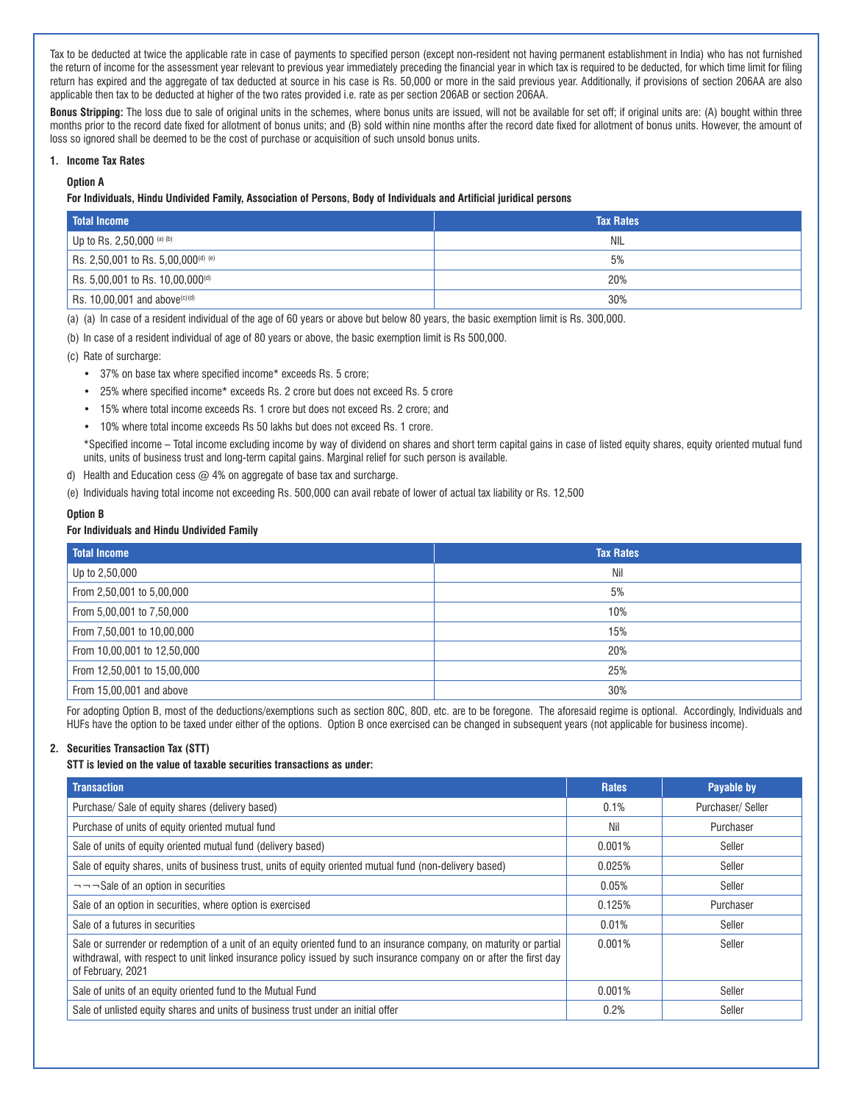Tax to be deducted at twice the applicable rate in case of payments to specified person (except non-resident not having permanent establishment in India) who has not furnished the return of income for the assessment year relevant to previous year immediately preceding the financial year in which tax is required to be deducted, for which time limit for filing return has expired and the aggregate of tax deducted at source in his case is Rs. 50,000 or more in the said previous year. Additionally, if provisions of section 206AA are also applicable then tax to be deducted at higher of the two rates provided i.e. rate as per section 206AB or section 206AA.

**Bonus Stripping:** The loss due to sale of original units in the schemes, where bonus units are issued, will not be available for set off; if original units are: (A) bought within three months prior to the record date fixed for allotment of bonus units; and (B) sold within nine months after the record date fixed for allotment of bonus units. However, the amount of loss so ignored shall be deemed to be the cost of purchase or acquisition of such unsold bonus units.

#### **1. Income Tax Rates**

**Option A**

#### **For Individuals, Hindu Undivided Family, Association of Persons, Body of Individuals and Artificial juridical persons**

| <b>Total Income</b>                                   | <b>Tax Rates</b> |
|-------------------------------------------------------|------------------|
| Up to Rs. 2,50,000 (a) (b)                            | NIL              |
| Rs. 2,50,001 to Rs. 5,00,000 <sup>(d) (e)</sup>       | 5%               |
| Rs. 5,00,001 to Rs. 10,00,000 <sup>(d)</sup>          | 20%              |
| $^{\prime}$ Rs. 10,00,001 and above <sup>(c)(d)</sup> | 30%              |

(a) (a) In case of a resident individual of the age of 60 years or above but below 80 years, the basic exemption limit is Rs. 300,000.

(b) In case of a resident individual of age of 80 years or above, the basic exemption limit is Rs 500,000.

(c) Rate of surcharge:

- 37% on base tax where specified income\* exceeds Rs. 5 crore;
- 25% where specified income\* exceeds Rs. 2 crore but does not exceed Rs. 5 crore
- 15% where total income exceeds Rs. 1 crore but does not exceed Rs. 2 crore; and
- 10% where total income exceeds Rs 50 lakhs but does not exceed Rs. 1 crore.

\*Specified income – Total income excluding income by way of dividend on shares and short term capital gains in case of listed equity shares, equity oriented mutual fund units, units of business trust and long-term capital gains. Marginal relief for such person is available.

- d) Health and Education cess  $@$  4% on aggregate of base tax and surcharge.
- (e) Individuals having total income not exceeding Rs. 500,000 can avail rebate of lower of actual tax liability or Rs. 12,500

#### **Option B**

# **For Individuals and Hindu Undivided Family**

| Total Income                | <b>Tax Rates</b> |
|-----------------------------|------------------|
| Up to 2,50,000              | Nil              |
| From 2,50,001 to 5,00,000   | 5%               |
| From 5,00,001 to 7,50,000   | 10%              |
| From 7,50,001 to 10,00,000  | 15%              |
| From 10,00,001 to 12,50,000 | 20%              |
| From 12,50,001 to 15,00,000 | 25%              |
| From 15,00,001 and above    | 30%              |

For adopting Option B, most of the deductions/exemptions such as section 80C, 80D, etc. are to be foregone. The aforesaid regime is optional. Accordingly, Individuals and HUFs have the option to be taxed under either of the options. Option B once exercised can be changed in subsequent years (not applicable for business income).

### **2. Securities Transaction Tax (STT)**

### **STT is levied on the value of taxable securities transactions as under:**

| <b>Transaction</b>                                                                                                                                                                                                                                               | <b>Rates</b> | Payable by       |
|------------------------------------------------------------------------------------------------------------------------------------------------------------------------------------------------------------------------------------------------------------------|--------------|------------------|
| Purchase/ Sale of equity shares (delivery based)                                                                                                                                                                                                                 | 0.1%         | Purchaser/Seller |
| Purchase of units of equity oriented mutual fund                                                                                                                                                                                                                 | Nil          | Purchaser        |
| Sale of units of equity oriented mutual fund (delivery based)                                                                                                                                                                                                    | 0.001%       | Seller           |
| Sale of equity shares, units of business trust, units of equity oriented mutual fund (non-delivery based)                                                                                                                                                        | 0.025%       | Seller           |
| $\neg$ $\neg$ $\neg$ Sale of an option in securities                                                                                                                                                                                                             | 0.05%        | Seller           |
| Sale of an option in securities, where option is exercised                                                                                                                                                                                                       | 0.125%       | Purchaser        |
| Sale of a futures in securities                                                                                                                                                                                                                                  | 0.01%        | Seller           |
| Sale or surrender or redemption of a unit of an equity oriented fund to an insurance company, on maturity or partial<br>withdrawal, with respect to unit linked insurance policy issued by such insurance company on or after the first day<br>of February, 2021 | 0.001%       | Seller           |
| Sale of units of an equity oriented fund to the Mutual Fund                                                                                                                                                                                                      | 0.001%       | Seller           |
| Sale of unlisted equity shares and units of business trust under an initial offer                                                                                                                                                                                | 0.2%         | Seller           |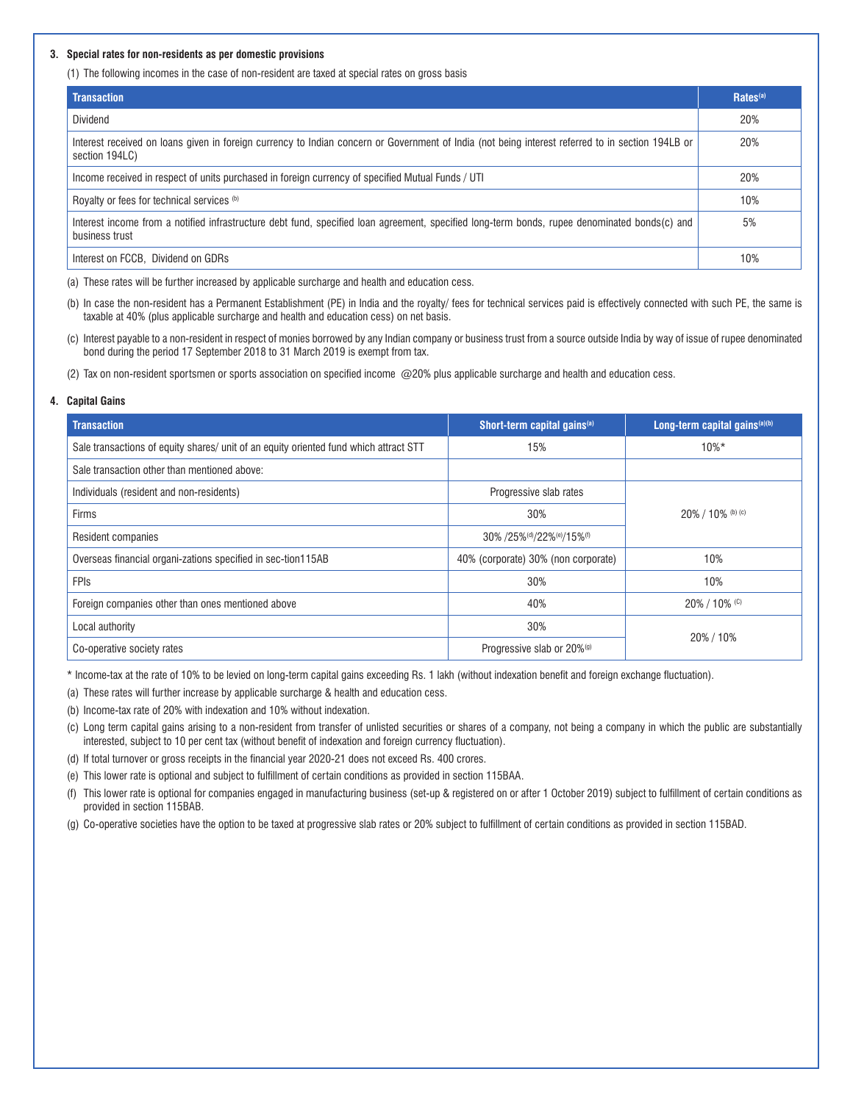#### **3. Special rates for non-residents as per domestic provisions**

(1) The following incomes in the case of non-resident are taxed at special rates on gross basis

| <b>Transaction</b>                                                                                                                                                  | Rates <sup>(a)</sup> |
|---------------------------------------------------------------------------------------------------------------------------------------------------------------------|----------------------|
| Dividend                                                                                                                                                            | 20%                  |
| Interest received on loans given in foreign currency to Indian concern or Government of India (not being interest referred to in section 194LB or<br>section 194LC) | 20%                  |
| Income received in respect of units purchased in foreign currency of specified Mutual Funds / UTI                                                                   | 20%                  |
| Royalty or fees for technical services (b)                                                                                                                          | 10%                  |
| Interest income from a notified infrastructure debt fund, specified loan agreement, specified long-term bonds, rupee denominated bonds(c) and<br>business trust     | 5%                   |
| Interest on FCCB. Dividend on GDRs                                                                                                                                  | 10%                  |

(a) These rates will be further increased by applicable surcharge and health and education cess.

- (b) In case the non-resident has a Permanent Establishment (PE) in India and the royalty/ fees for technical services paid is effectively connected with such PE, the same is taxable at 40% (plus applicable surcharge and health and education cess) on net basis.
- (c) Interest payable to a non-resident in respect of monies borrowed by any Indian company or business trust from a source outside India by way of issue of rupee denominated bond during the period 17 September 2018 to 31 March 2019 is exempt from tax.
- (2) Tax on non-resident sportsmen or sports association on specified income @20% plus applicable surcharge and health and education cess.

#### **4. Capital Gains**

| <b>Transaction</b>                                                                    | Short-term capital gains <sup>(a)</sup> | Long-term capital gains $(a)(b)$ |  |
|---------------------------------------------------------------------------------------|-----------------------------------------|----------------------------------|--|
| Sale transactions of equity shares/ unit of an equity oriented fund which attract STT | 15%                                     | $10\%*$                          |  |
| Sale transaction other than mentioned above:                                          |                                         |                                  |  |
| Individuals (resident and non-residents)                                              | Progressive slab rates                  |                                  |  |
| Firms                                                                                 | 30%                                     | 20% / 10% (b) (c)                |  |
| Resident companies                                                                    | 30% /25%(d)/22%(e)/15%(f)               |                                  |  |
| Overseas financial organi-zations specified in sec-tion115AB                          | 40% (corporate) 30% (non corporate)     | 10%                              |  |
| <b>FPIS</b>                                                                           | 30%                                     | 10%                              |  |
| Foreign companies other than ones mentioned above                                     | 40%                                     | $20\%$ / 10% (C)                 |  |
| Local authority                                                                       | 30%                                     |                                  |  |
| Co-operative society rates                                                            | Progressive slab or 20% <sup>(g)</sup>  | 20%/10%                          |  |

\* Income-tax at the rate of 10% to be levied on long-term capital gains exceeding Rs. 1 lakh (without indexation benefit and foreign exchange fluctuation).

(a) These rates will further increase by applicable surcharge & health and education cess.

(b) Income-tax rate of 20% with indexation and 10% without indexation.

(c) Long term capital gains arising to a non-resident from transfer of unlisted securities or shares of a company, not being a company in which the public are substantially interested, subject to 10 per cent tax (without benefit of indexation and foreign currency fluctuation).

(d) If total turnover or gross receipts in the financial year 2020-21 does not exceed Rs. 400 crores.

- (e) This lower rate is optional and subject to fulfillment of certain conditions as provided in section 115BAA.
- (f) This lower rate is optional for companies engaged in manufacturing business (set-up & registered on or after 1 October 2019) subject to fulfillment of certain conditions as provided in section 115BAB.

(g) Co-operative societies have the option to be taxed at progressive slab rates or 20% subject to fulfillment of certain conditions as provided in section 115BAD.